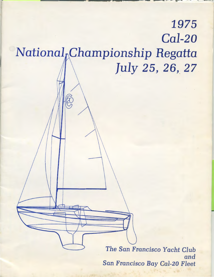## 1975 **Cal-20**  *National Championship* Regatta July 25, 26, 27

---==----~-.......... \_.\_ \_ \_\_,\_ ~-=r **q** ~ \_\_., <sup>I</sup>

*The* San Francisco *Yacht Club*  and San Francisco *Bay Cal-20 Fleet*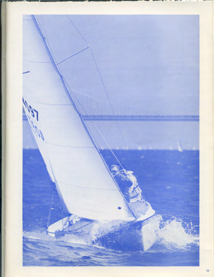